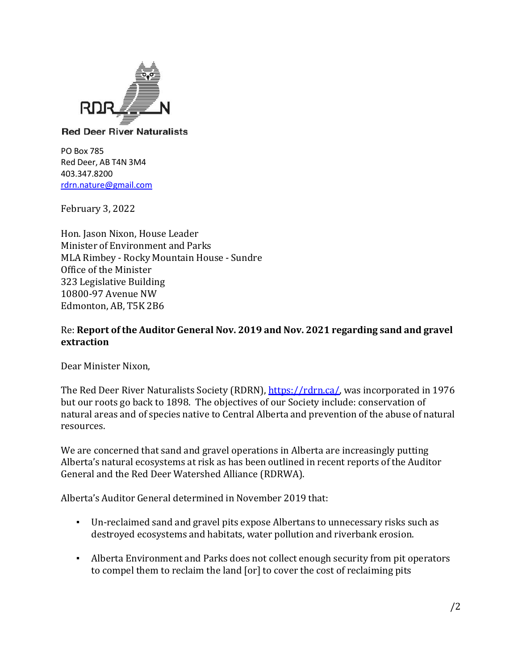

## **Red Deer River Naturalists**

PO Box 785 Red Deer, AB T4N 3M4 403.347.8200 [rdrn.nature@gmail.com](mailto:rdrn.nature@gmail.com)

February 3, 2022

Hon. Jason Nixon, House Leader Minister of Environment and Parks MLA Rimbey - Rocky Mountain House - Sundre Office of the Minister 323 Legislative Building 10800-97 Avenue NW Edmonton, AB, T5K 2B6

## Re: **Report of the Auditor General Nov. 2019 and Nov. 2021 regarding sand and gravel extraction**

Dear Minister Nixon,

The Red Deer River [Naturalists](https://rdrn.ca/about-rdrn/objectives/) Society (RDRN), [https://rdrn.ca/,](https://rdrn.ca/) was incorporated in 1976 but our roots go back to 1898. The objectives of our Society include: conservation of natural areas and of species native to Central Alberta and prevention of the abuse of natural resources.

We are concerned that sand and gravel operations in Alberta are increasingly putting Alberta's natural ecosystems at risk as has been outlined in recent reports of the Auditor General and the Red Deer Watershed Alliance (RDRWA).

Alberta's Auditor General determined in November 2019 that:

- Un-reclaimed sand and gravel pits expose Albertans to unnecessary risks such as destroyed ecosystems and habitats, water pollution and riverbank erosion.
- Alberta Environment and Parks does not collect enough security from pit operators to compel them to reclaim the land [or] to cover the cost of reclaiming pits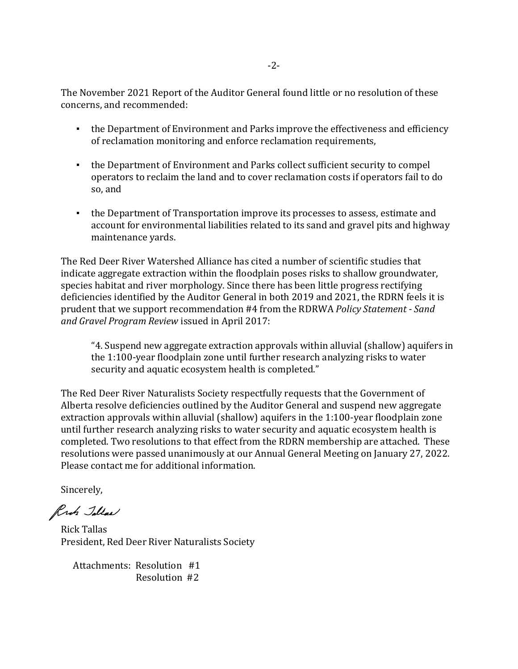The November 2021 Report of the Auditor General found little or no resolution of these concerns, and recommended:

- the Department of Environment and Parks improve the effectiveness and efficiency of reclamation monitoring and enforce reclamation requirements,
- the Department of Environment and Parks collect sufficient security to compel operators to reclaim the land and to cover reclamation costs if operators fail to do so, and
- the Department of Transportation improve its processes to assess, estimate and account for environmental liabilities related to its sand and gravel pits and highway maintenance yards.

The Red Deer River Watershed Alliance has cited a number of scientific studies that indicate aggregate extraction within the floodplain poses risks to shallow groundwater, species habitat and river morphology. Since there has been little progress rectifying deficiencies identified by the Auditor General in both 2019 and 2021, the RDRN feels it is prudent that we support recommendation #4 from the RDRWA *Policy Statement - Sand and Gravel Program Review* issued in April 2017:

"4. Suspend new aggregate extraction approvals within alluvial (shallow) aquifers in the 1:100-year floodplain zone until further research analyzing risks to water security and aquatic ecosystem health is completed."

The Red Deer River Naturalists Society respectfully requests that the Government of Alberta resolve deficiencies outlined by the Auditor General and suspend new aggregate extraction approvals within alluvial (shallow) aquifers in the 1:100-year floodplain zone until further research analyzing risks to water security and aquatic ecosystem health is completed. Two resolutions to that effect from the RDRN membership are attached. These resolutions were passed unanimously at our Annual General Meeting on January 27, 2022. Please contact me for additional information.

Sincerely,

Ruh Jollas

 President, Red Deer River Naturalists Society Rick Tallas

 Attachments: Resolution #1 Resolution #2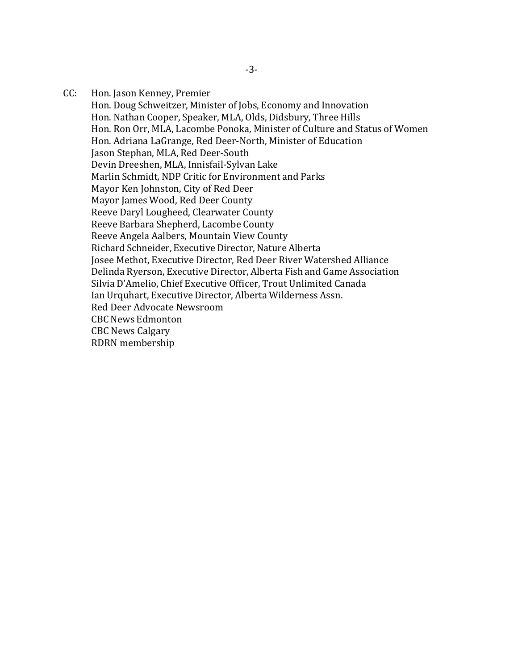CC: Hon. Jason Kenney, Premier

Hon. Doug Schweitzer, Minister of Jobs, Economy and Innovation Hon. Nathan Cooper, Speaker, MLA, Olds, Didsbury, Three Hills Hon. Ron Orr, MLA, Lacombe Ponoka, Minister of Culture and Status of Women Hon. Adriana LaGrange, Red Deer-North, Minister of Education Jason Stephan, MLA, Red Deer-South Devin Dreeshen, MLA, Innisfail-Sylvan Lake Marlin Schmidt, NDP Critic for Environment and Parks Mayor Ken Johnston, City of Red Deer Mayor James Wood, Red Deer County Reeve Daryl Lougheed, Clearwater County Reeve Barbara Shepherd, Lacombe County Reeve Angela Aalbers, Mountain View County Richard Schneider, Executive Director, Nature Alberta Josee Methot, Executive Director, [Red Deer River Watershed Alliance](https://rdrwa.ca/) Delinda Ryerson, Executive Director, Alberta Fish and Game [Association](https://www.afga.org/) Silvia D'Amelio, Chief Executive Officer, Trout Unlimited Canada Ian Urquhart, Executive Director, Alberta Wilderness Assn. Red Deer Advocate Newsroom CBC News Edmonton CBC News Calgary RDRN membership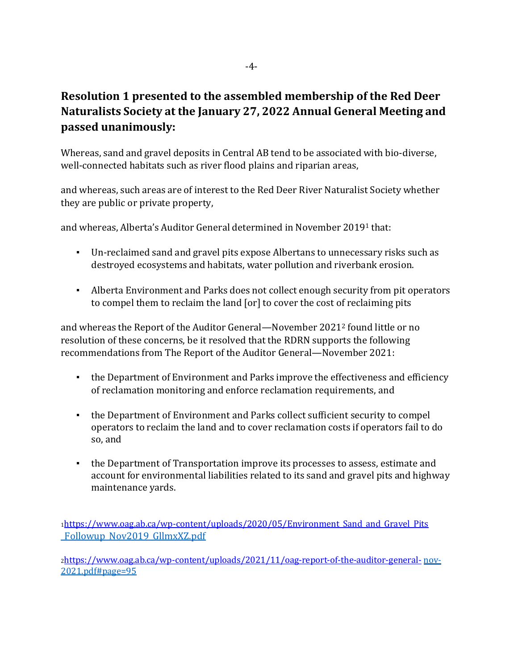## **Resolution 1 presented to the assembled membership of the Red Deer Naturalists Society at the January 27, 2022 Annual General Meeting and passed unanimously:**

Whereas, sand and gravel deposits in Central AB tend to be associated with bio-diverse, well-connected habitats such as river flood plains and riparian areas,

and whereas, such areas are of interest to the Red Deer River Naturalist Society whether they are public or private property,

and whereas, Alberta's Auditor General determined in November 2019<sup>1</sup> that:

- Un-reclaimed sand and gravel pits expose Albertans to unnecessary risks such as destroyed ecosystems and habitats, water pollution and riverbank erosion.
- Alberta Environment and Parks does not collect enough security from pit operators to compel them to reclaim the land [or] to cover the cost of reclaiming pits

and whereas the Report of the Auditor General—November 2021<sup>2</sup> found little or no resolution of these concerns, be it resolved that the RDRN supports the following recommendations from The Report of the Auditor General—November 2021:

- the Department of Environment and Parks improve the effectiveness and efficiency of reclamation monitoring and enforce reclamation requirements, and
- the Department of Environment and Parks collect sufficient security to compel operators to reclaim the land and to cover reclamation costs if operators fail to do so, and
- the Department of Transportation improve its processes to assess, estimate and account for environmental liabilities related to its sand and gravel pits and highway maintenance yards.

<sup>1</sup>[https://www.oag.ab.ca/wp-content/uploads/2020/05/Environment\\_Sand\\_and\\_Gravel\\_Pits](https://www.oag.ab.ca/wp-content/uploads/2020/05/Environment_Sand_and_Gravel_Pits) [\\_Followup\\_Nov2019\\_GllmxXZ.pdf](https://www.oag.ab.ca/wp-content/uploads/2020/05/Environment_Sand_and_Gravel_Pits_Followup_Nov2019_GllmxXZ.pdf)

<sup>2</sup><https://www.oag.ab.ca/wp-content/uploads/2021/11/oag-report-of-the-auditor-general-> [nov-](https://www.oag.ab.ca/wp-content/uploads/2021/11/oag-report-of-the-auditor-general-nov-2021.pdf#page%3D95)[2021.pdf#page=95](https://www.oag.ab.ca/wp-content/uploads/2021/11/oag-report-of-the-auditor-general-nov-2021.pdf#page%3D95)